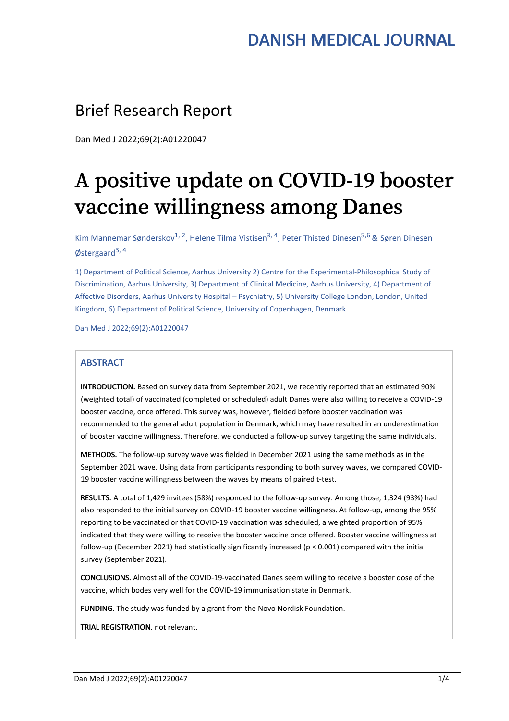# Brief Research Report

Dan Med J 2022;69(2):A01220047

# A positive update on COVID-19 booster vaccine willingness among Danes

Kim Mannemar Sønderskov<sup>1, 2</sup>, Helene Tilma Vistisen<sup>3, 4</sup>, Peter Thisted Dinesen<sup>5,6</sup> & Søren Dinesen Østergaard<sup>3, 4</sup>

1) Department of Political Science, Aarhus University 2) Centre for the Experimental-Philosophical Study of Discrimination, Aarhus University, 3) Department of Clinical Medicine, Aarhus University, 4) Department of Affective Disorders, Aarhus University Hospital – Psychiatry, 5) University College London, London, United Kingdom, 6) Department of Political Science, University of Copenhagen, Denmark

Dan Med J 2022;69(2):A01220047

# **ARSTRACT**

INTRODUCTION. Based on survey data from September 2021, we recently reported that an estimated 90% (weighted total) of vaccinated (completed or scheduled) adult Danes were also willing to receive a COVID-19 booster vaccine, once offered. This survey was, however, fielded before booster vaccination was recommended to the general adult population in Denmark, which may have resulted in an underestimation of booster vaccine willingness. Therefore, we conducted a follow-up survey targeting the same individuals.

METHODS. The follow-up survey wave was fielded in December 2021 using the same methods as in the September 2021 wave. Using data from participants responding to both survey waves, we compared COVID- 19 booster vaccine willingness between the waves by means of paired t-test.

RESULTS. A total of 1,429 invitees (58%) responded to the follow-up survey. Among those, 1,324 (93%) had also responded to the initial survey on COVID-19 booster vaccine willingness. At follow-up, among the 95% reporting to be vaccinated or that COVID-19 vaccination was scheduled, a weighted proportion of 95% indicated that they were willing to receive the booster vaccine once offered. Booster vaccine willingness at follow-up (December 2021) had statistically significantly increased (p < 0.001) compared with the initial survey (September 2021).

CONCLUSIONS. Almost all of the COVID-19-vaccinated Danes seem willing to receive a booster dose of the vaccine, which bodes very well for the COVID-19 immunisation state in Denmark.

FUNDING. The study was funded by a grant from the Novo Nordisk Foundation.

TRIAL REGISTRATION. not relevant.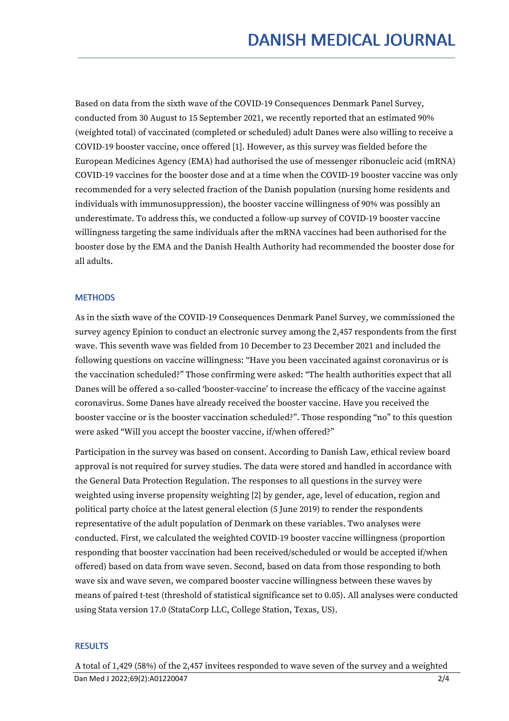Based on data from the sixth wave of the COVID-19 Consequences Denmark Panel Survey, conducted from 30 August to 15 September 2021, we recently reported that an estimated 90% (weighted total) of vaccinated (completed or scheduled) adult Danes were also willing to receive a COVID-19 booster vaccine, once offered [1]. However, as this survey was fielded before the European Medicines Agency (EMA) had authorised the use of messenger ribonucleic acid (mRNA) COVID-19 vaccines for the booster dose and at a time when the COVID-19 booster vaccine was only recommended for a very selected fraction of the Danish population (nursing home residents and individuals with immunosuppression), the booster vaccine willingness of 90% was possibly an underestimate. To address this, we conducted a follow-up survey of COVID-19 booster vaccine willingness targeting the same individuals after the mRNA vaccines had been authorised for the booster dose by the EMA and the Danish Health Authority had recommended the booster dose for all adults.

## **METHODS**

As in the sixth wave of the COVID-19 Consequences Denmark Panel Survey, we commissioned the survey agency Epinion to conduct an electronic survey among the 2,457 respondents from the first wave. This seventh wave was fielded from 10 December to 23 December 2021 and included the following questions on vaccine willingness: "Have you been vaccinated against coronavirus or is the vaccination scheduled?" Those confirming were asked: "The health authorities expect that all Danes will be offered a so-called ʻbooster-vaccine' to increase the efficacy of the vaccine against coronavirus. Some Danes have already received the booster vaccine. Have you received the booster vaccine or is the booster vaccination scheduled?". Those responding "no" to this question were asked "Will you accept the booster vaccine, if/when offered?"

Participation in the survey was based on consent. According to Danish Law, ethical review board approval is not required for survey studies. The data were stored and handled in accordance with the General Data Protection Regulation. The responses to all questions in the survey were weighted using inverse propensity weighting [2] by gender, age, level of education, region and political party choice at the latest general election (5 June 2019) to render the respondents representative of the adult population of Denmark on these variables. Two analyses were conducted. First, we calculated the weighted COVID-19 booster vaccine willingness (proportion responding that booster vaccination had been received/scheduled or would be accepted if/when offered) based on data from wave seven. Second, based on data from those responding to both wave six and wave seven, we compared booster vaccine willingness between these waves by means of paired t-test (threshold of statistical significance set to 0.05). All analyses were conducted using Stata version 17.0 (StataCorp LLC, College Station, Texas, US).

#### **RESULTS**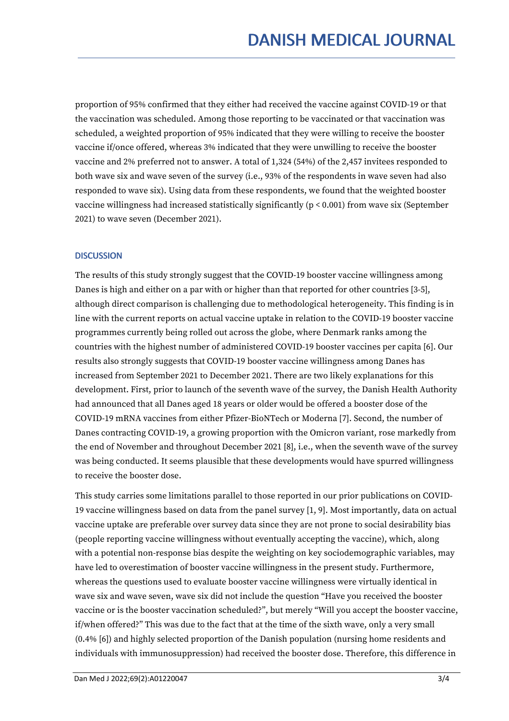proportion of 95% confirmed that they either had received the vaccine against COVID-19 or that the vaccination was scheduled. Among those reporting to be vaccinated or that vaccination was scheduled, a weighted proportion of 95% indicated that they were willing to receive the booster vaccine if/once offered, whereas 3% indicated that they were unwilling to receive the booster vaccine and 2% preferred not to answer. A total of 1,324 (54%) of the 2,457 invitees responded to both wave six and wave seven of the survey (i.e., 93% of the respondents in wave seven had also responded to wave six). Using data from these respondents, we found that the weighted booster vaccine willingness had increased statistically significantly (p < 0.001) from wave six (September 2021) to wave seven (December 2021).

# **DISCUSSION**

The results of this study strongly suggest that the COVID-19 booster vaccine willingness among Danes is high and either on a par with or higher than that reported for other countries [3-5], although direct comparison is challenging due to methodological heterogeneity. This finding is in line with the current reports on actual vaccine uptake in relation to the COVID-19 booster vaccine programmes currently being rolled out across the globe, where Denmark ranks among the countries with the highest number of administered COVID-19 booster vaccines per capita [6]. Our results also strongly suggests that COVID-19 booster vaccine willingness among Danes has increased from September 2021 to December 2021. There are two likely explanations for this development. First, prior to launch of the seventh wave of the survey, the Danish Health Authority had announced that all Danes aged 18 years or older would be offered a booster dose of the COVID-19 mRNA vaccines from either Pfizer-BioNTech or Moderna [7]. Second, the number of Danes contracting COVID-19, a growing proportion with the Omicron variant, rose markedly from the end of November and throughout December 2021 [8], i.e., when the seventh wave of the survey was being conducted. It seems plausible that these developments would have spurred willingness to receive the booster dose.

This study carries some limitations parallel to those reported in our prior publications on COVID- 19 vaccine willingness based on data from the panel survey [1, 9]. Most importantly, data on actual vaccine uptake are preferable over survey data since they are not prone to social desirability bias (people reporting vaccine willingness without eventually accepting the vaccine), which, along with a potential non-response bias despite the weighting on key sociodemographic variables, may have led to overestimation of booster vaccine willingness in the present study. Furthermore, whereas the questions used to evaluate booster vaccine willingness were virtually identical in wave six and wave seven, wave six did not include the question "Have you received the booster vaccine or is the booster vaccination scheduled?", but merely "Will you accept the booster vaccine, if/when offered?" This was due to the fact that at the time of the sixth wave, only a very small  $(0.4\%$  [6]) and highly selected proportion of the Danish population (nursing home residents and individuals with immunosuppression) had received the booster dose. Therefore, this difference in